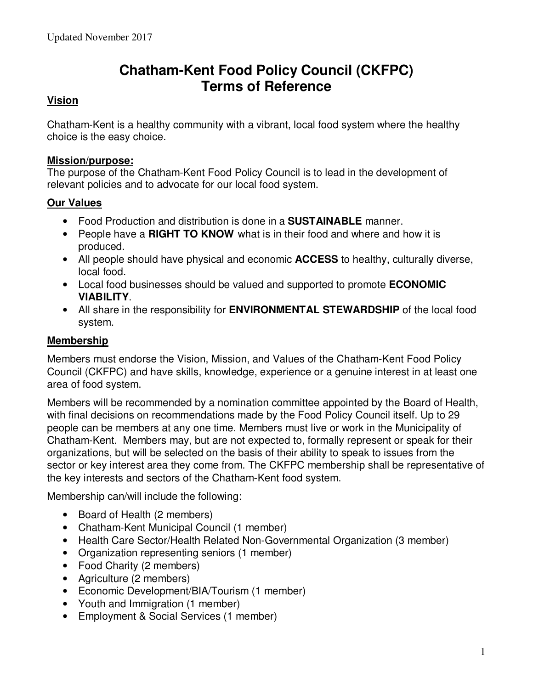# **Chatham-Kent Food Policy Council (CKFPC) Terms of Reference**

# **Vision**

Chatham-Kent is a healthy community with a vibrant, local food system where the healthy choice is the easy choice.

#### **Mission/purpose:**

The purpose of the Chatham-Kent Food Policy Council is to lead in the development of relevant policies and to advocate for our local food system.

#### **Our Values**

- Food Production and distribution is done in a **SUSTAINABLE** manner.
- People have a **RIGHT TO KNOW** what is in their food and where and how it is produced.
- All people should have physical and economic **ACCESS** to healthy, culturally diverse, local food.
- Local food businesses should be valued and supported to promote **ECONOMIC VIABILITY**.
- All share in the responsibility for **ENVIRONMENTAL STEWARDSHIP** of the local food system.

#### **Membership**

Members must endorse the Vision, Mission, and Values of the Chatham-Kent Food Policy Council (CKFPC) and have skills, knowledge, experience or a genuine interest in at least one area of food system.

Members will be recommended by a nomination committee appointed by the Board of Health, with final decisions on recommendations made by the Food Policy Council itself. Up to 29 people can be members at any one time. Members must live or work in the Municipality of Chatham-Kent. Members may, but are not expected to, formally represent or speak for their organizations, but will be selected on the basis of their ability to speak to issues from the sector or key interest area they come from. The CKFPC membership shall be representative of the key interests and sectors of the Chatham-Kent food system.

Membership can/will include the following:

- Board of Health (2 members)
- Chatham-Kent Municipal Council (1 member)
- Health Care Sector/Health Related Non-Governmental Organization (3 member)
- Organization representing seniors (1 member)
- Food Charity (2 members)
- Agriculture (2 members)
- Economic Development/BIA/Tourism (1 member)
- Youth and Immigration (1 member)
- Employment & Social Services (1 member)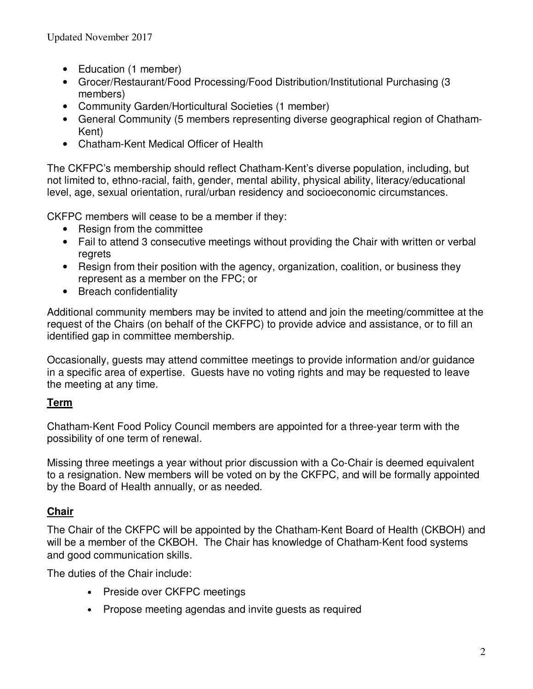- Education (1 member)
- Grocer/Restaurant/Food Processing/Food Distribution/Institutional Purchasing (3 members)
- Community Garden/Horticultural Societies (1 member)
- General Community (5 members representing diverse geographical region of Chatham-Kent)
- Chatham-Kent Medical Officer of Health

The CKFPC's membership should reflect Chatham-Kent's diverse population, including, but not limited to, ethno-racial, faith, gender, mental ability, physical ability, literacy/educational level, age, sexual orientation, rural/urban residency and socioeconomic circumstances.

CKFPC members will cease to be a member if they:

- Resign from the committee
- Fail to attend 3 consecutive meetings without providing the Chair with written or verbal regrets
- Resign from their position with the agency, organization, coalition, or business they represent as a member on the FPC; or
- Breach confidentiality

Additional community members may be invited to attend and join the meeting/committee at the request of the Chairs (on behalf of the CKFPC) to provide advice and assistance, or to fill an identified gap in committee membership.

Occasionally, guests may attend committee meetings to provide information and/or guidance in a specific area of expertise. Guests have no voting rights and may be requested to leave the meeting at any time.

# **Term**

Chatham-Kent Food Policy Council members are appointed for a three-year term with the possibility of one term of renewal.

Missing three meetings a year without prior discussion with a Co-Chair is deemed equivalent to a resignation. New members will be voted on by the CKFPC, and will be formally appointed by the Board of Health annually, or as needed.

# **Chair**

The Chair of the CKFPC will be appointed by the Chatham-Kent Board of Health (CKBOH) and will be a member of the CKBOH. The Chair has knowledge of Chatham-Kent food systems and good communication skills.

The duties of the Chair include:

- Preside over CKFPC meetings
- Propose meeting agendas and invite guests as required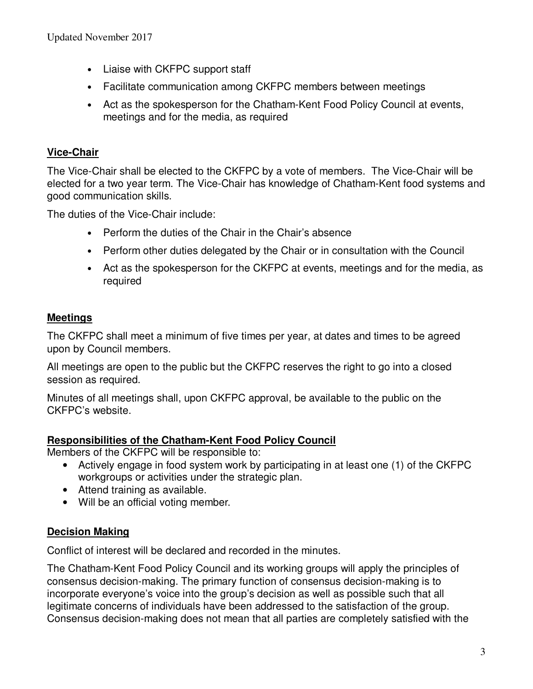- Liaise with CKFPC support staff
- Facilitate communication among CKFPC members between meetings
- Act as the spokesperson for the Chatham-Kent Food Policy Council at events, meetings and for the media, as required

# **Vice-Chair**

The Vice-Chair shall be elected to the CKFPC by a vote of members. The Vice-Chair will be elected for a two year term. The Vice-Chair has knowledge of Chatham-Kent food systems and good communication skills.

The duties of the Vice-Chair include:

- Perform the duties of the Chair in the Chair's absence
- Perform other duties delegated by the Chair or in consultation with the Council
- Act as the spokesperson for the CKFPC at events, meetings and for the media, as required

# **Meetings**

The CKFPC shall meet a minimum of five times per year, at dates and times to be agreed upon by Council members.

All meetings are open to the public but the CKFPC reserves the right to go into a closed session as required.

Minutes of all meetings shall, upon CKFPC approval, be available to the public on the CKFPC's website.

#### **Responsibilities of the Chatham-Kent Food Policy Council**

Members of the CKFPC will be responsible to:

- Actively engage in food system work by participating in at least one (1) of the CKFPC workgroups or activities under the strategic plan.
- Attend training as available.
- Will be an official voting member.

#### **Decision Making**

Conflict of interest will be declared and recorded in the minutes.

The Chatham-Kent Food Policy Council and its working groups will apply the principles of consensus decision-making. The primary function of consensus decision-making is to incorporate everyone's voice into the group's decision as well as possible such that all legitimate concerns of individuals have been addressed to the satisfaction of the group. Consensus decision-making does not mean that all parties are completely satisfied with the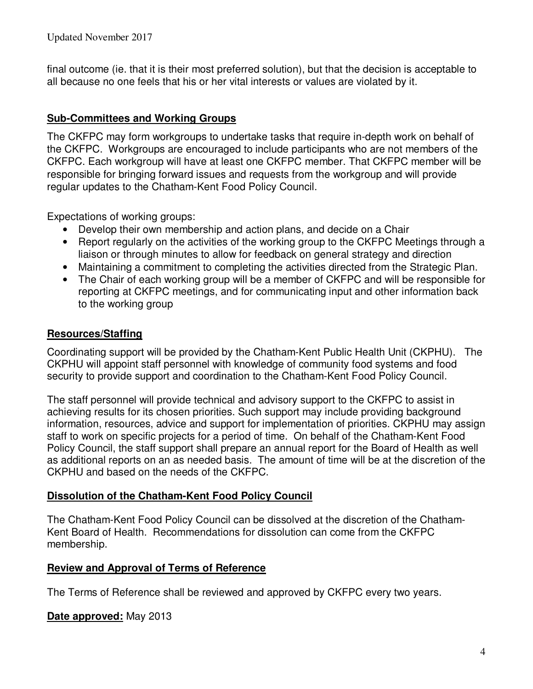final outcome (ie. that it is their most preferred solution), but that the decision is acceptable to all because no one feels that his or her vital interests or values are violated by it.

# **Sub-Committees and Working Groups**

The CKFPC may form workgroups to undertake tasks that require in-depth work on behalf of the CKFPC. Workgroups are encouraged to include participants who are not members of the CKFPC. Each workgroup will have at least one CKFPC member. That CKFPC member will be responsible for bringing forward issues and requests from the workgroup and will provide regular updates to the Chatham-Kent Food Policy Council.

Expectations of working groups:

- Develop their own membership and action plans, and decide on a Chair
- Report regularly on the activities of the working group to the CKFPC Meetings through a liaison or through minutes to allow for feedback on general strategy and direction
- Maintaining a commitment to completing the activities directed from the Strategic Plan.
- The Chair of each working group will be a member of CKFPC and will be responsible for reporting at CKFPC meetings, and for communicating input and other information back to the working group

#### **Resources/Staffing**

Coordinating support will be provided by the Chatham-Kent Public Health Unit (CKPHU). The CKPHU will appoint staff personnel with knowledge of community food systems and food security to provide support and coordination to the Chatham-Kent Food Policy Council.

The staff personnel will provide technical and advisory support to the CKFPC to assist in achieving results for its chosen priorities. Such support may include providing background information, resources, advice and support for implementation of priorities. CKPHU may assign staff to work on specific projects for a period of time. On behalf of the Chatham-Kent Food Policy Council, the staff support shall prepare an annual report for the Board of Health as well as additional reports on an as needed basis. The amount of time will be at the discretion of the CKPHU and based on the needs of the CKFPC.

#### **Dissolution of the Chatham-Kent Food Policy Council**

The Chatham-Kent Food Policy Council can be dissolved at the discretion of the Chatham-Kent Board of Health. Recommendations for dissolution can come from the CKFPC membership.

#### **Review and Approval of Terms of Reference**

The Terms of Reference shall be reviewed and approved by CKFPC every two years.

#### **Date approved:** May 2013